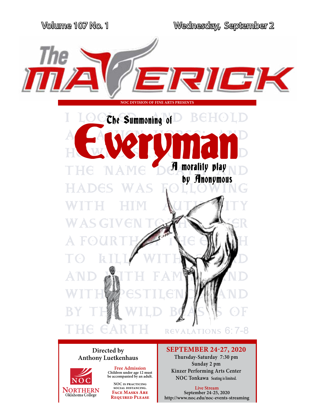

## **Anthony Luetkenhaus**



**Free Admission Children under age 12 must be accompanied by an adult.**

**NOC is practicing social distancing. Face Masks Are Required Please**

**Directed by SEPTEMBER 24-27, 2020**

**Thursday-Saturday 7:30 pm Sunday 2 pm Kinzer Performing Arts Center NOC Tonkawa Seating is limited.**

**Live Stream September 24-25, 2020 http://www.noc.edu/noc-events-streaming**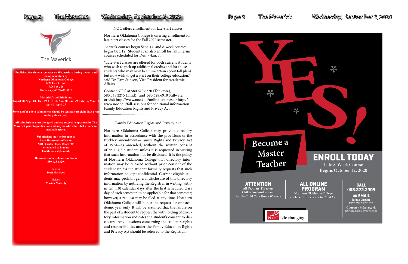**Published five times a semester on Wednesdays during the fall and spring semesters by: Northern Oklahoma College 1220 East Grand P.O Box 310 Tonkawa, OK. 74653-0310**

**Maverick's publish dates: August 28, Sept. 18 , Oct. 09, Oct. 30, Nov. 20, Jan. 29, Feb. 19, Mar. 11, April 8. April 29** 

**Story and/or photo submissions should be sent at least eight days prior to the publish date.** 

**All submissions must be signed and are subject to approval by The Maverick prior to publication and may be edited for libel, errors and available space.**

> **Submissions may be brought to Scott Haywood's office at: NOC Central Hall, Room 305 or emailed to him at: TheMaverick@noc.edu**

**Haywood's office phone number is 580-628-6329.**

> Adviser **Scott Haywood**

Editors **Mariah Moberly**

### Page 2 The Maverick Wednesday, September 2, 2020 Page 3 The Maverick Wednesday, September 2, 2020



The Maverick

NOC offers enrollment for late-start classes

Northern Oklahoma College is offering enrollment for late-start classes for the Fall 2020 semester.

12-week courses begin Sept. 14, and 8-week courses begin Oct. 12. Students can also enroll for fall interim courses scheduled for Dec. 7-Jan. 7.

"Late-start classes are offered for both current students who wish to pick up additional credits and for those students who may have been uncertain about fall plans but now wish to get a start on their college education," said Dr. Pam Stinson, Vice President for Academic Affairs

Contact NOC at 580.628.6220 (Tonkawa), 580.548.2275 (Enid), and 580.628.6910 Stillwater or visit http://www.noc.edu/online-courses or http:// www.noc.edu/fall-sessions for additional information. Family Education Rights and Privacy Act

Family Education Rights and Privacy Act

Northern Oklahoma College may provide directory information in accordance with the provisions of the Buckley amendment—Family Rights and Privacy Act of 1974—as amended, without the written consent of an eligible student unless it is requested in writing that such information not be disclosed. It is the policy of Northern Oklahoma College that directory information may be released without prior consent of the student unless the student formally requests that such information be kept confidential. Current eligible students may prohibit general disclosure of this directory information by notifying the Registrar in writing, within ten (10) calendar days after the first scheduled class day of each semester, to be applicable for that semester; however, a request may be filed at any time. Northern Oklahoma College will honor the request for one academic year only. It will be assumed that the failure on the part of a student to request the withholding of directory information indicates the student's consent to disclosure. Any questions concerning the student's rights and responsibilities under the Family Education Rights and Privacy Act should be referred to the Registrar.